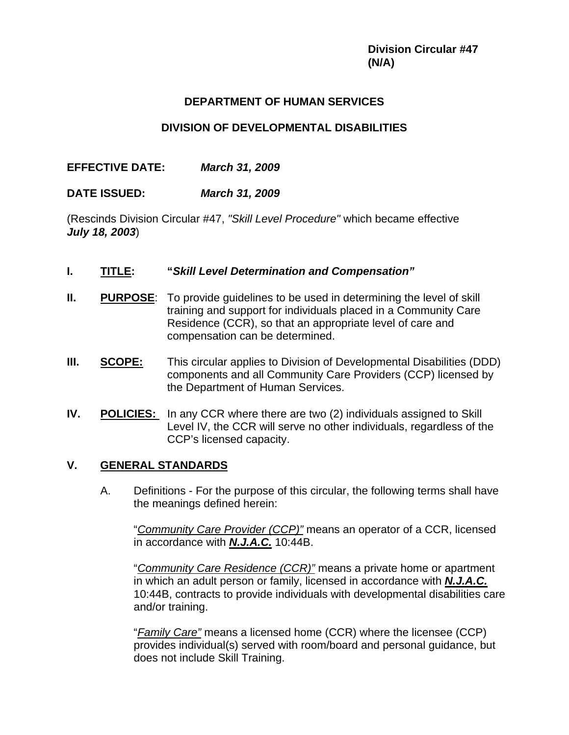# **DEPARTMENT OF HUMAN SERVICES**

## **DIVISION OF DEVELOPMENTAL DISABILITIES**

# **EFFECTIVE DATE:** *March 31, 2009*

**DATE ISSUED:** *March 31, 2009*

(Rescinds Division Circular #47, *"Skill Level Procedure"* which became effective *July 18, 2003*)

- **I. TITLE: "***Skill Level Determination and Compensation"*
- **II.** PURPOSE: To provide quidelines to be used in determining the level of skill training and support for individuals placed in a Community Care Residence (CCR), so that an appropriate level of care and compensation can be determined.
- **III.** SCOPE: This circular applies to Division of Developmental Disabilities (DDD) components and all Community Care Providers (CCP) licensed by the Department of Human Services.
- **IV.** POLICIES: In any CCR where there are two (2) individuals assigned to Skill Level IV, the CCR will serve no other individuals, regardless of the CCP's licensed capacity.

# **V. GENERAL STANDARDS**

A. Definitions - For the purpose of this circular, the following terms shall have the meanings defined herein:

 "*Community Care Provider (CCP)"* means an operator of a CCR, licensed in accordance with *N.J.A.C.* 10:44B.

"*Community Care Residence (CCR)"* means a private home or apartment in which an adult person or family, licensed in accordance with *N.J.A.C.* 10:44B, contracts to provide individuals with developmental disabilities care and/or training.

 "*Family Care"* means a licensed home (CCR) where the licensee (CCP) provides individual(s) served with room/board and personal guidance, but does not include Skill Training.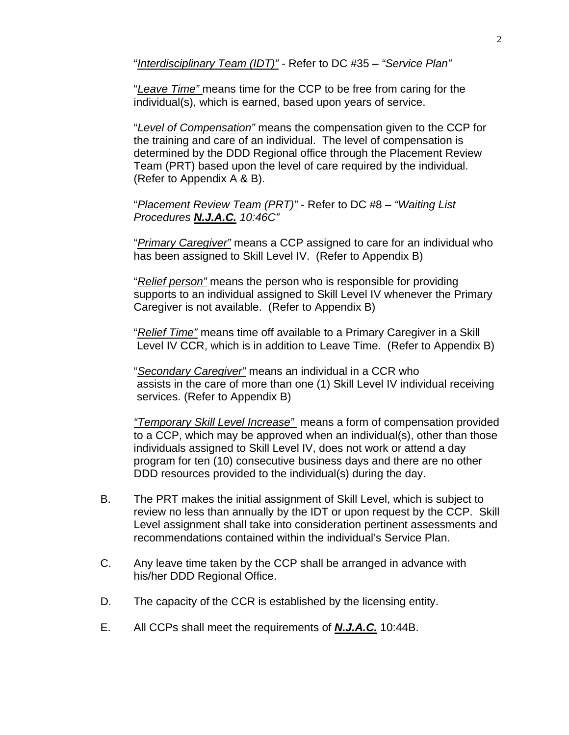"*Interdisciplinary Team (IDT)"* - Refer to DC #35 – *"Service Plan"* 

"*Leave Time"* means time for the CCP to be free from caring for the individual(s), which is earned, based upon years of service.

"*Level of Compensation"* means the compensation given to the CCP for the training and care of an individual. The level of compensation is determined by the DDD Regional office through the Placement Review Team (PRT) based upon the level of care required by the individual. (Refer to Appendix A & B).

"*Placement Review Team (PRT)"* - Refer to DC #8 – *"Waiting List Procedures N.J.A.C. 10:46C"* 

 "*Primary Caregiver"* means a CCP assigned to care for an individual who has been assigned to Skill Level IV. (Refer to Appendix B)

"*Relief person"* means the person who is responsible for providing supports to an individual assigned to Skill Level IV whenever the Primary Caregiver is not available. (Refer to Appendix B)

"*Relief Time"* means time off available to a Primary Caregiver in a Skill Level IV CCR, which is in addition to Leave Time. (Refer to Appendix B)

"*Secondary Caregiver"* means an individual in a CCR who assists in the care of more than one (1) Skill Level IV individual receiving services. (Refer to Appendix B)

*"Temporary Skill Level Increase"* means a form of compensation provided to a CCP, which may be approved when an individual(s), other than those individuals assigned to Skill Level IV, does not work or attend a day program for ten (10) consecutive business days and there are no other DDD resources provided to the individual(s) during the day.

- B. The PRT makes the initial assignment of Skill Level, which is subject to review no less than annually by the IDT or upon request by the CCP. Skill Level assignment shall take into consideration pertinent assessments and recommendations contained within the individual's Service Plan.
- C. Any leave time taken by the CCP shall be arranged in advance with his/her DDD Regional Office.
- D. The capacity of the CCR is established by the licensing entity.
- E. All CCPs shall meet the requirements of *N.J.A.C.* 10:44B.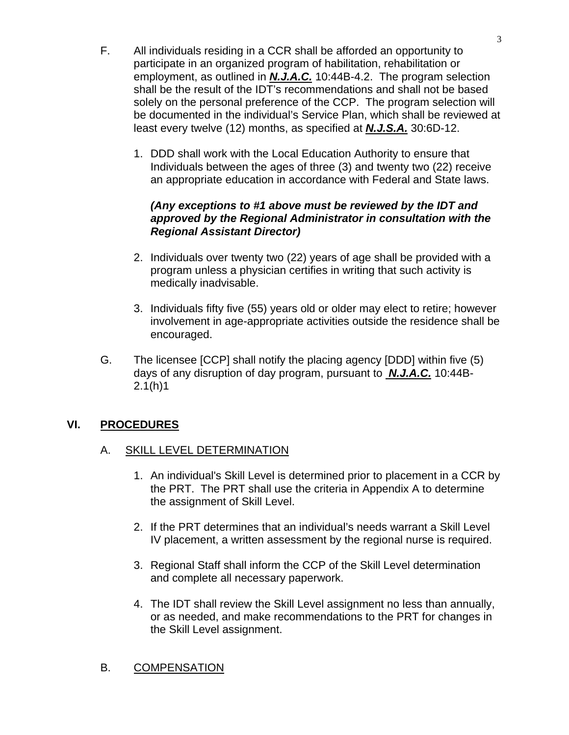- F. All individuals residing in a CCR shall be afforded an opportunity to participate in an organized program of habilitation, rehabilitation or employment, as outlined in *N.J.A.C.* 10:44B-4.2. The program selection shall be the result of the IDT's recommendations and shall not be based solely on the personal preference of the CCP. The program selection will be documented in the individual's Service Plan, which shall be reviewed at least every twelve (12) months, as specified at *N.J.S.A.* 30:6D-12.
	- 1. DDD shall work with the Local Education Authority to ensure that Individuals between the ages of three (3) and twenty two (22) receive an appropriate education in accordance with Federal and State laws.

## *(Any exceptions to #1 above must be reviewed by the IDT and approved by the Regional Administrator in consultation with the Regional Assistant Director)*

- 2. Individuals over twenty two (22) years of age shall be provided with a program unless a physician certifies in writing that such activity is medically inadvisable.
- 3. Individuals fifty five (55) years old or older may elect to retire; however involvement in age-appropriate activities outside the residence shall be encouraged.
- G. The licensee [CCP] shall notify the placing agency [DDD] within five (5) days of any disruption of day program, pursuant to *N.J.A.C.* 10:44B-2.1(h)1

# **VI. PROCEDURES**

# A. SKILL LEVEL DETERMINATION

- 1. An individual's Skill Level is determined prior to placement in a CCR by the PRT. The PRT shall use the criteria in Appendix A to determine the assignment of Skill Level.
- 2. If the PRT determines that an individual's needs warrant a Skill Level IV placement, a written assessment by the regional nurse is required.
- 3. Regional Staff shall inform the CCP of the Skill Level determination and complete all necessary paperwork.
- 4. The IDT shall review the Skill Level assignment no less than annually, or as needed, and make recommendations to the PRT for changes in the Skill Level assignment.

# B. COMPENSATION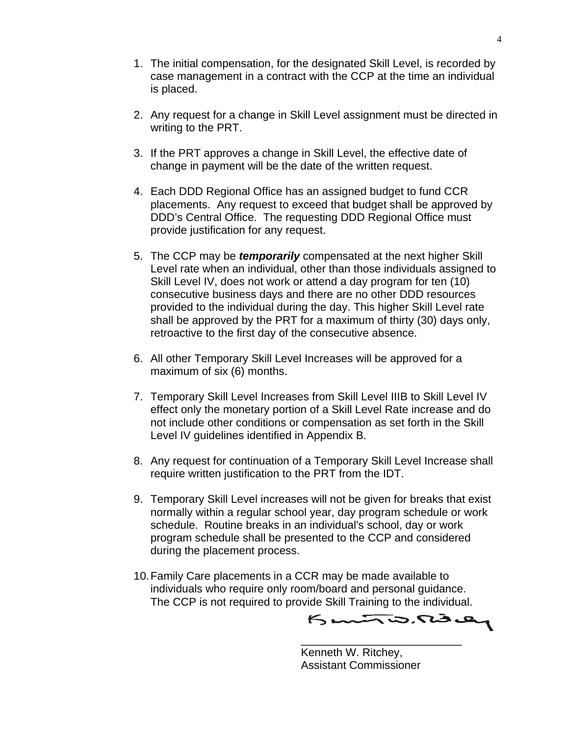- 1. The initial compensation, for the designated Skill Level, is recorded by case management in a contract with the CCP at the time an individual is placed.
- 2. Any request for a change in Skill Level assignment must be directed in writing to the PRT.
- 3. If the PRT approves a change in Skill Level, the effective date of change in payment will be the date of the written request.
- 4. Each DDD Regional Office has an assigned budget to fund CCR placements. Any request to exceed that budget shall be approved by DDD's Central Office. The requesting DDD Regional Office must provide justification for any request.
- 5. The CCP may be *temporarily* compensated at the next higher Skill Level rate when an individual, other than those individuals assigned to Skill Level IV, does not work or attend a day program for ten (10) consecutive business days and there are no other DDD resources provided to the individual during the day. This higher Skill Level rate shall be approved by the PRT for a maximum of thirty (30) days only, retroactive to the first day of the consecutive absence.
- 6. All other Temporary Skill Level Increases will be approved for a maximum of six (6) months.
- 7. Temporary Skill Level Increases from Skill Level IIIB to Skill Level IV effect only the monetary portion of a Skill Level Rate increase and do not include other conditions or compensation as set forth in the Skill Level IV guidelines identified in Appendix B.
- 8. Any request for continuation of a Temporary Skill Level Increase shall require written justification to the PRT from the IDT.
- 9. Temporary Skill Level increases will not be given for breaks that exist normally within a regular school year, day program schedule or work schedule. Routine breaks in an individual's school, day or work program schedule shall be presented to the CCP and considered during the placement process.
- 10. Family Care placements in a CCR may be made available to individuals who require only room/board and personal guidance. The CCP is not required to provide Skill Training to the individual.<br>
<del>پنجم جنگ جنگ ج</del>

 $\overline{\phantom{a}}$  , and the contract of the contract of the contract of the contract of the contract of the contract of the contract of the contract of the contract of the contract of the contract of the contract of the contrac

 Kenneth W. Ritchey, Assistant Commissioner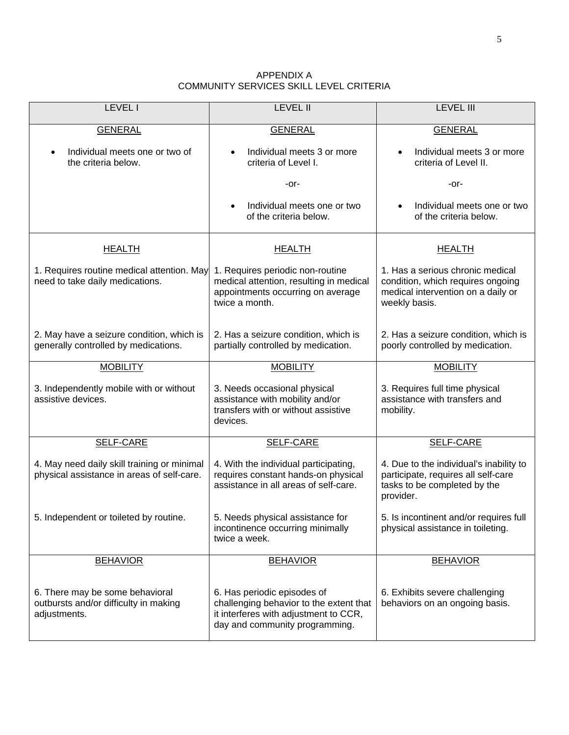| APPENDIX A                              |
|-----------------------------------------|
| COMMUNITY SERVICES SKILL LEVEL CRITERIA |

| <b>LEVEL I</b>                                                                            | <b>LEVEL II</b>                                                                                                                                                                                    | <b>LEVEL III</b>                                                                                                             |  |
|-------------------------------------------------------------------------------------------|----------------------------------------------------------------------------------------------------------------------------------------------------------------------------------------------------|------------------------------------------------------------------------------------------------------------------------------|--|
| <b>GENERAL</b>                                                                            | <b>GENERAL</b>                                                                                                                                                                                     | <b>GENERAL</b>                                                                                                               |  |
| Individual meets one or two of<br>the criteria below.                                     | Individual meets 3 or more<br>criteria of Level I.                                                                                                                                                 | Individual meets 3 or more<br>criteria of Level II.                                                                          |  |
|                                                                                           | -or-                                                                                                                                                                                               | -or-                                                                                                                         |  |
|                                                                                           | Individual meets one or two<br>of the criteria below.                                                                                                                                              | Individual meets one or two<br>$\bullet$<br>of the criteria below.                                                           |  |
| <b>HEALTH</b>                                                                             | <b>HEALTH</b>                                                                                                                                                                                      | <b>HEALTH</b>                                                                                                                |  |
| 1. Requires routine medical attention. May<br>need to take daily medications.             | 1. Requires periodic non-routine<br>medical attention, resulting in medical<br>appointments occurring on average<br>twice a month.                                                                 | 1. Has a serious chronic medical<br>condition, which requires ongoing<br>medical intervention on a daily or<br>weekly basis. |  |
| 2. May have a seizure condition, which is<br>generally controlled by medications.         | 2. Has a seizure condition, which is<br>partially controlled by medication.                                                                                                                        | 2. Has a seizure condition, which is<br>poorly controlled by medication.                                                     |  |
| <b>MOBILITY</b>                                                                           | <b>MOBILITY</b>                                                                                                                                                                                    | <b>MOBILITY</b>                                                                                                              |  |
| 3. Independently mobile with or without<br>assistive devices.                             | 3. Needs occasional physical<br>3. Requires full time physical<br>assistance with mobility and/or<br>assistance with transfers and<br>transfers with or without assistive<br>mobility.<br>devices. |                                                                                                                              |  |
| <b>SELF-CARE</b>                                                                          | <b>SELF-CARE</b>                                                                                                                                                                                   | <b>SELF-CARE</b>                                                                                                             |  |
| 4. May need daily skill training or minimal<br>physical assistance in areas of self-care. | 4. With the individual participating,<br>requires constant hands-on physical<br>assistance in all areas of self-care.                                                                              | 4. Due to the individual's inability to<br>participate, requires all self-care<br>tasks to be completed by the<br>provider.  |  |
| 5. Independent or toileted by routine.                                                    | 5. Needs physical assistance for<br>incontinence occurring minimally<br>twice a week.                                                                                                              | 5. Is incontinent and/or requires full<br>physical assistance in toileting.                                                  |  |
| <b>BEHAVIOR</b>                                                                           | <b>BEHAVIOR</b>                                                                                                                                                                                    | <b>BEHAVIOR</b>                                                                                                              |  |
| 6. There may be some behavioral<br>outbursts and/or difficulty in making<br>adjustments.  | 6. Has periodic episodes of<br>challenging behavior to the extent that<br>it interferes with adjustment to CCR,<br>day and community programming.                                                  | 6. Exhibits severe challenging<br>behaviors on an ongoing basis.                                                             |  |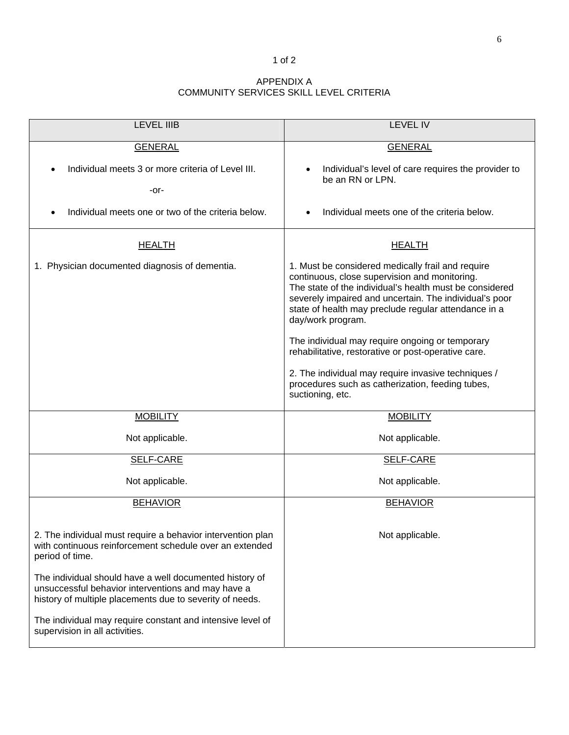#### 1 of 2

### APPENDIX A COMMUNITY SERVICES SKILL LEVEL CRITERIA

| <b>LEVEL IIIB</b>                                                                                                                                                         | <b>LEVEL IV</b>                                                                                                                                                                                                                                                                                                                                                                                                                                                                                                                               |
|---------------------------------------------------------------------------------------------------------------------------------------------------------------------------|-----------------------------------------------------------------------------------------------------------------------------------------------------------------------------------------------------------------------------------------------------------------------------------------------------------------------------------------------------------------------------------------------------------------------------------------------------------------------------------------------------------------------------------------------|
| <b>GENERAL</b>                                                                                                                                                            | <b>GENERAL</b>                                                                                                                                                                                                                                                                                                                                                                                                                                                                                                                                |
| Individual meets 3 or more criteria of Level III.<br>-or-                                                                                                                 | Individual's level of care requires the provider to<br>be an RN or LPN.                                                                                                                                                                                                                                                                                                                                                                                                                                                                       |
| Individual meets one or two of the criteria below.                                                                                                                        | Individual meets one of the criteria below.                                                                                                                                                                                                                                                                                                                                                                                                                                                                                                   |
| <b>HEALTH</b>                                                                                                                                                             | <b>HEALTH</b>                                                                                                                                                                                                                                                                                                                                                                                                                                                                                                                                 |
| 1. Physician documented diagnosis of dementia.                                                                                                                            | 1. Must be considered medically frail and require<br>continuous, close supervision and monitoring.<br>The state of the individual's health must be considered<br>severely impaired and uncertain. The individual's poor<br>state of health may preclude regular attendance in a<br>day/work program.<br>The individual may require ongoing or temporary<br>rehabilitative, restorative or post-operative care.<br>2. The individual may require invasive techniques /<br>procedures such as catherization, feeding tubes,<br>suctioning, etc. |
| <b>MOBILITY</b>                                                                                                                                                           | <b>MOBILITY</b>                                                                                                                                                                                                                                                                                                                                                                                                                                                                                                                               |
| Not applicable.                                                                                                                                                           | Not applicable.                                                                                                                                                                                                                                                                                                                                                                                                                                                                                                                               |
| <b>SELF-CARE</b>                                                                                                                                                          | <b>SELF-CARE</b>                                                                                                                                                                                                                                                                                                                                                                                                                                                                                                                              |
| Not applicable.                                                                                                                                                           | Not applicable.                                                                                                                                                                                                                                                                                                                                                                                                                                                                                                                               |
| <b>BEHAVIOR</b>                                                                                                                                                           | <b>BEHAVIOR</b>                                                                                                                                                                                                                                                                                                                                                                                                                                                                                                                               |
| 2. The individual must require a behavior intervention plan<br>with continuous reinforcement schedule over an extended<br>period of time.                                 | Not applicable.                                                                                                                                                                                                                                                                                                                                                                                                                                                                                                                               |
| The individual should have a well documented history of<br>unsuccessful behavior interventions and may have a<br>history of multiple placements due to severity of needs. |                                                                                                                                                                                                                                                                                                                                                                                                                                                                                                                                               |
| The individual may require constant and intensive level of<br>supervision in all activities.                                                                              |                                                                                                                                                                                                                                                                                                                                                                                                                                                                                                                                               |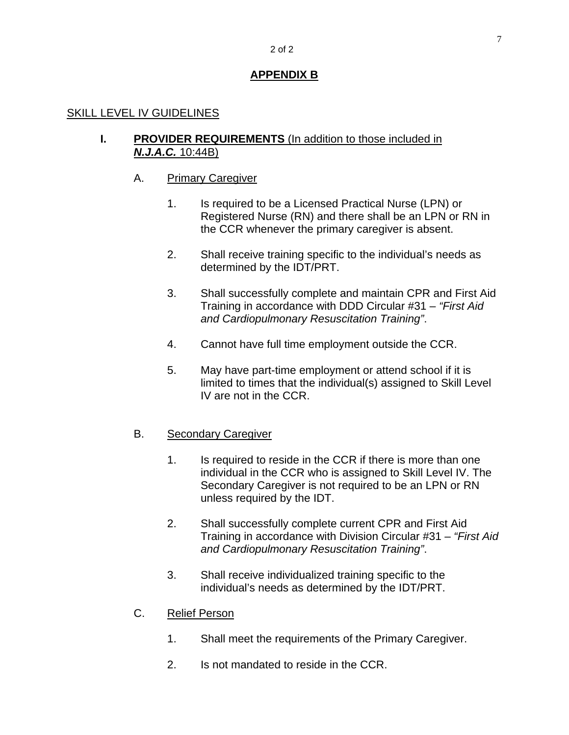#### 2 of 2

## **APPENDIX B**

### SKILL LEVEL IV GUIDELINES

### **I. PROVIDER REQUIREMENTS** (In addition to those included in *N.J.A.C.* 10:44B)

### A. Primary Caregiver

- 1. Is required to be a Licensed Practical Nurse (LPN) or Registered Nurse (RN) and there shall be an LPN or RN in the CCR whenever the primary caregiver is absent.
- 2. Shall receive training specific to the individual's needs as determined by the IDT/PRT.
- 3. Shall successfully complete and maintain CPR and First Aid Training in accordance with DDD Circular #31 – *"First Aid and Cardiopulmonary Resuscitation Training"*.
- 4. Cannot have full time employment outside the CCR.
- 5. May have part-time employment or attend school if it is limited to times that the individual(s) assigned to Skill Level IV are not in the CCR.

### B. Secondary Caregiver

- 1. Is required to reside in the CCR if there is more than one individual in the CCR who is assigned to Skill Level IV. The Secondary Caregiver is not required to be an LPN or RN unless required by the IDT.
- 2. Shall successfully complete current CPR and First Aid Training in accordance with Division Circular #31 – *"First Aid and Cardiopulmonary Resuscitation Training"*.
- 3. Shall receive individualized training specific to the individual's needs as determined by the IDT/PRT.

### C. Relief Person

- 1. Shall meet the requirements of the Primary Caregiver.
- 2. Is not mandated to reside in the CCR.